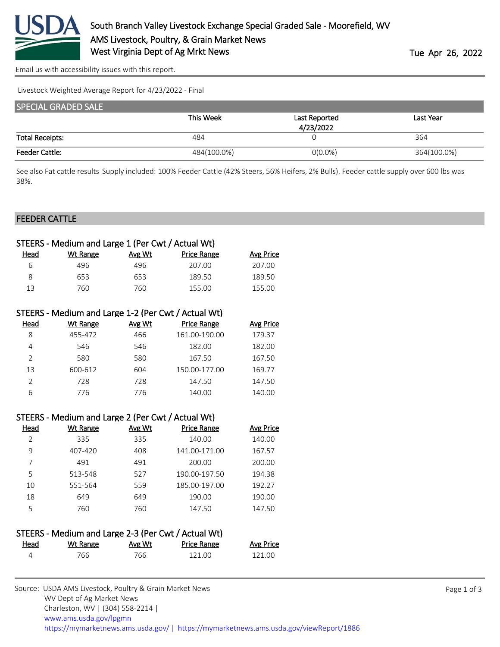

[Email us with accessibility issues with this report.](mailto:mars@ams.usda.gov?subject=508%20issue)

Livestock Weighted Average Report for 4/23/2022 - Final

| <b>SPECIAL GRADED SALE</b> |             |               |             |  |
|----------------------------|-------------|---------------|-------------|--|
|                            | This Week   | Last Reported | Last Year   |  |
|                            |             | 4/23/2022     |             |  |
| <b>Total Receipts:</b>     | 484         |               | 364         |  |
| <b>Feeder Cattle:</b>      | 484(100.0%) | $O(0.0\%)$    | 364(100.0%) |  |

See also Fat cattle results Supply included: 100% Feeder Cattle (42% Steers, 56% Heifers, 2% Bulls). Feeder cattle supply over 600 lbs was 38%.

#### FEEDER CATTLE

| STEERS - Medium and Large 1 (Per Cwt / Actual Wt) |          |        |                    |           |
|---------------------------------------------------|----------|--------|--------------------|-----------|
| Head                                              | Wt Range | Avg Wt | <b>Price Range</b> | Avg Price |
| 6                                                 | 496      | 496    | 207.00             | 207.00    |
| 8                                                 | 653      | 653    | 189.50             | 189.50    |
| 13                                                | 760      | 760.   | 155.00             | 155.00    |
|                                                   |          |        |                    |           |

| STEERS - Medium and Large 1-2 (Per Cwt / Actual Wt) |          |               |                    |                  |  |
|-----------------------------------------------------|----------|---------------|--------------------|------------------|--|
| Head                                                | Wt Range | <b>Avg Wt</b> | <b>Price Range</b> | <b>Avg Price</b> |  |
| 8                                                   | 455-472  | 466           | 161.00-190.00      | 179.37           |  |
| 4                                                   | 546      | 546           | 182.00             | 182.00           |  |
| $\mathcal{P}$                                       | 580      | 580           | 167.50             | 167.50           |  |
| 13                                                  | 600-612  | 604           | 150.00-177.00      | 169.77           |  |
| $\mathcal{P}$                                       | 728      | 728           | 147.50             | 147.50           |  |
| 6                                                   | 776      | 776           | 140.00             | 140.00           |  |

| STEERS - Medium and Large 2 (Per Cwt / Actual Wt) |          |        |                    |           |
|---------------------------------------------------|----------|--------|--------------------|-----------|
| Head                                              | Wt Range | Avg Wt | <b>Price Range</b> | Avg Price |
| $\mathfrak{D}$                                    | 335      | 335    | 140.00             | 140.00    |
| 9                                                 | 407-420  | 408    | 141.00-171.00      | 167.57    |
| 7                                                 | 491      | 491    | 200.00             | 200.00    |
| 5                                                 | 513-548  | 527    | 190.00-197.50      | 194.38    |
| 10                                                | 551-564  | 559    | 185.00-197.00      | 192.27    |
| 18                                                | 649      | 649    | 190.00             | 190.00    |
| 5                                                 | 760      | 760    | 147.50             | 147.50    |

#### STEERS - Medium and Large 2-3 (Per Cwt / Actual Wt)

| <u>Head</u> | Wt Range | Avg Wt | <u>Price Range</u> | Avg Price |
|-------------|----------|--------|--------------------|-----------|
|             | 766-     | 766.   | 121.00             | 121.00    |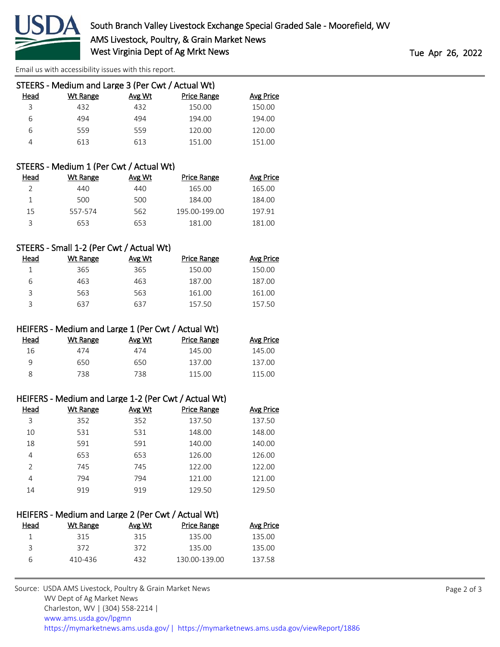

[Email us with accessibility issues with this report.](mailto:mars@ams.usda.gov?subject=508%20issue)

| STEERS - Medium and Large 3 (Per Cwt / Actual Wt) |          |        |                    |           |
|---------------------------------------------------|----------|--------|--------------------|-----------|
| Head                                              | Wt Range | Avg Wt | <b>Price Range</b> | Avg Price |
| 3                                                 | 432      | 432    | 150.00             | 150.00    |
| 6                                                 | 494      | 494    | 194.00             | 194.00    |
| 6                                                 | 559      | 559    | 120.00             | 120.00    |
|                                                   | 613      | 613    | 151.00             | 151.00    |
|                                                   |          |        |                    |           |

# STEERS - Medium 1 (Per Cwt / Actual Wt)

| Head | Wt Range | Avg Wt | Price Range   | Avg Price |
|------|----------|--------|---------------|-----------|
|      | 440      | 440    | 165.00        | 165.00    |
|      | 500      | 500    | 184.00        | 184.00    |
| 15   | 557-574  | 562    | 195.00-199.00 | 197.91    |
| ς    | 653      | 653    | 181.00        | 181.00    |

# STEERS - Small 1-2 (Per Cwt / Actual Wt)

| Head | Wt Range | Avg Wt | <b>Price Range</b> | Avg Price |
|------|----------|--------|--------------------|-----------|
|      | 365      | 365    | 150.00             | 150.00    |
| h    | 463      | 463    | 187.00             | 187.00    |
|      | 563      | 563    | 161.00             | 161.00    |
| っ    | 637      | 637    | 157.50             | 157.50    |

### HEIFERS - Medium and Large 1 (Per Cwt / Actual Wt)

| Head | Wt Range | Avg Wt | <b>Price Range</b> | <b>Avg Price</b> |
|------|----------|--------|--------------------|------------------|
| 16   | 474      | 474    | 145.00             | 145.00           |
| a    | 650      | 650    | 137.00             | 137.00           |
|      | 738      | 738    | 115.00             | 115.00           |

#### HEIFERS - Medium and Large 1-2 (Per Cwt / Actual Wt)

| Head          | Wt Range | Avg Wt | <b>Price Range</b> | <b>Avg Price</b> |
|---------------|----------|--------|--------------------|------------------|
| 3             | 352      | 352    | 137.50             | 137.50           |
| 10            | 531      | 531    | 148.00             | 148.00           |
| 18            | 591      | 591    | 140.00             | 140.00           |
| 4             | 653      | 653    | 126.00             | 126.00           |
| $\mathcal{P}$ | 745      | 745    | 122.00             | 122.00           |
| 4             | 794      | 794    | 121.00             | 121.00           |
| 14            | 919      | 919    | 129.50             | 129.50           |
|               |          |        |                    |                  |

| HEIFERS - Medium and Large 2 (Per Cwt / Actual Wt) |        |                    |           |  |
|----------------------------------------------------|--------|--------------------|-----------|--|
| Wt Range                                           | Avg Wt | <b>Price Range</b> | Avg Price |  |
| 315                                                | 315    | 135.00             | 135.00    |  |
| 372                                                | 372    | 135.00             | 135.00    |  |
| 410-436                                            | 432    | 130.00-139.00      | 137.58    |  |
|                                                    |        |                    |           |  |